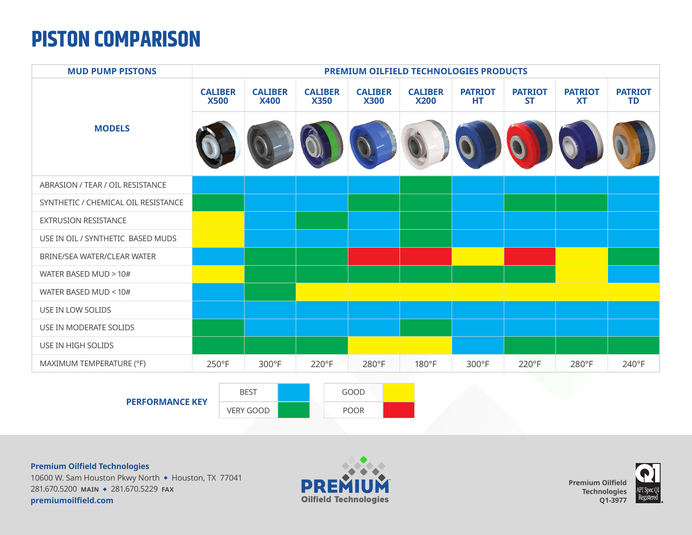## **PISTON COMPARISON**

| <b>MUD PUMP PISTONS</b>             | <b>PREMIUM OILFIELD TECHNOLOGIES PRODUCTS</b> |                                 |                               |                               |                               |                       |                             |                             |                             |  |
|-------------------------------------|-----------------------------------------------|---------------------------------|-------------------------------|-------------------------------|-------------------------------|-----------------------|-----------------------------|-----------------------------|-----------------------------|--|
| <b>MODELS</b>                       | <b>CALIBER</b><br><b>X500</b>                 | <b>CALIBER</b><br><b>X400</b>   | <b>CALIBER</b><br><b>X350</b> | <b>CALIBER</b><br><b>X300</b> | <b>CALIBER</b><br><b>X200</b> | <b>PATRIOT</b><br>HT. | <b>PATRIOT</b><br><b>ST</b> | <b>PATRIOT</b><br><b>XT</b> | <b>PATRIOT</b><br><b>TD</b> |  |
|                                     |                                               |                                 |                               |                               |                               |                       |                             |                             |                             |  |
| ABRASION / TEAR / OIL RESISTANCE    |                                               |                                 |                               |                               |                               |                       |                             |                             |                             |  |
| SYNTHETIC / CHEMICAL OIL RESISTANCE |                                               |                                 |                               |                               |                               |                       |                             |                             |                             |  |
| EXTRUSION RESISTANCE                |                                               |                                 |                               |                               |                               |                       |                             |                             |                             |  |
| USE IN OIL / SYNTHETIC BASED MUDS   |                                               |                                 |                               |                               |                               |                       |                             |                             |                             |  |
| BRINE/SEA WATER/CLEAR WATER         |                                               |                                 |                               |                               |                               |                       |                             |                             |                             |  |
| WATER BASED MUD > 10#               |                                               |                                 |                               |                               |                               |                       |                             |                             |                             |  |
| WATER BASED MUD < 10#               |                                               |                                 |                               |                               |                               |                       |                             |                             |                             |  |
| USE IN LOW SOLIDS                   |                                               |                                 |                               |                               |                               |                       |                             |                             |                             |  |
| USE IN MODERATE SOLIDS              |                                               |                                 |                               |                               |                               |                       |                             |                             |                             |  |
| USE IN HIGH SOLIDS                  |                                               |                                 |                               |                               |                               |                       |                             |                             |                             |  |
| MAXIMUM TEMPERATURE (°F)            | 250°F                                         | 300°F                           | 220°F                         | 280°F                         | 180°F                         | 300°F                 | 220°F                       | 280°F                       | 240°F                       |  |
| <b>PERFORMANCE KEY</b>              |                                               | <b>BEST</b><br><b>VERY GOOD</b> |                               | GOOD<br><b>POOR</b>           |                               |                       |                             |                             |                             |  |

**Premium Oilfield Technologies**

10600 W. Sam Houston Pkwy North • Houston, TX 77041 281.670.5200 **MAIN** <sup>u</sup> 281.670.5229 **FAX premiumoilfield.com**



**Premium Oilfield Technologies Q1-3977**